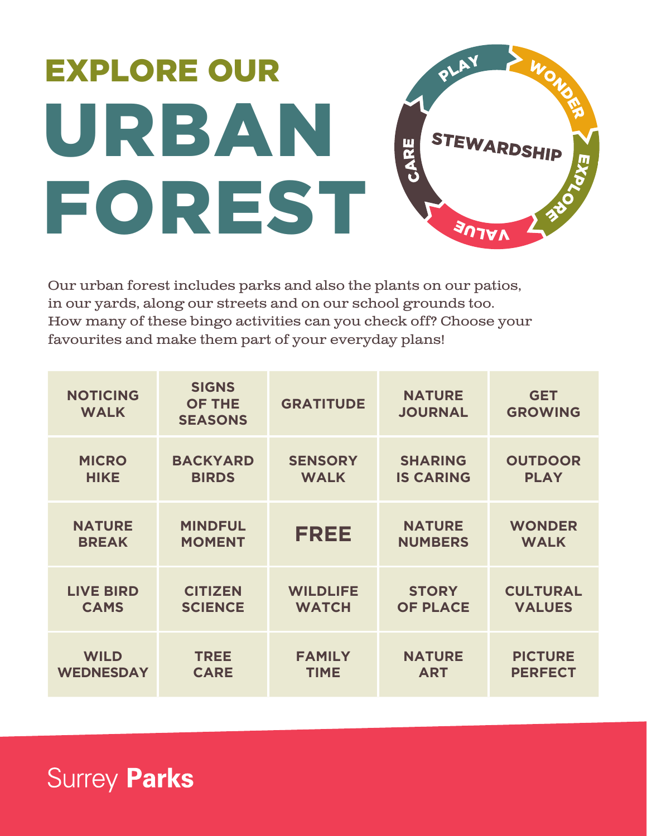## WONS EXPLORE OUR URBAN STEWARDSHIP CARE FOREST **ALUE**

Our urban forest includes parks and also the plants on our patios, in our yards, along our streets and on our school grounds too. How many of these bingo activities can you check off? Choose your favourites and make them part of your everyday plans!

| <b>NOTICING</b><br><b>WALK</b> | <b>SIGNS</b><br><b>OF THE</b><br><b>SEASONS</b> | <b>GRATITUDE</b> | <b>NATURE</b><br><b>JOURNAL</b> | <b>GET</b><br><b>GROWING</b> |
|--------------------------------|-------------------------------------------------|------------------|---------------------------------|------------------------------|
| <b>MICRO</b>                   | <b>BACKYARD</b>                                 | <b>SENSORY</b>   | <b>SHARING</b>                  | <b>OUTDOOR</b>               |
| <b>HIKE</b>                    | <b>BIRDS</b>                                    | <b>WALK</b>      | <b>IS CARING</b>                | <b>PLAY</b>                  |
| <b>NATURE</b>                  | <b>MINDFUL</b>                                  | FREE             | <b>NATURE</b>                   | <b>WONDER</b>                |
| <b>BREAK</b>                   | <b>MOMENT</b>                                   |                  | <b>NUMBERS</b>                  | <b>WALK</b>                  |
| <b>LIVE BIRD</b>               | <b>CITIZEN</b>                                  | <b>WILDLIFE</b>  | <b>STORY</b>                    | <b>CULTURAL</b>              |
| <b>CAMS</b>                    | <b>SCIENCE</b>                                  | <b>WATCH</b>     | <b>OF PLACE</b>                 | <b>VALUES</b>                |
| <b>WILD</b>                    | <b>TREE</b>                                     | <b>FAMILY</b>    | <b>NATURE</b>                   | <b>PICTURE</b>               |
| <b>WEDNESDAY</b>               | <b>CARE</b>                                     | <b>TIME</b>      | <b>ART</b>                      | <b>PERFECT</b>               |

**Surrey Parks**